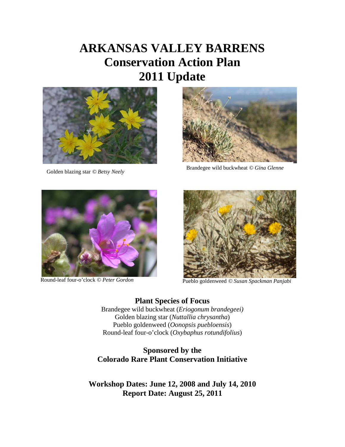# **ARKANSAS VALLEY BARRENS Conservation Action Plan 2011 Update**





Golden blazing star *© Betsy Neely* Brandegee wild buckwheat *© Gina Glenne* 





Round-leaf four-o'clock © Peter Gordon<br>Pueblo goldenweed © Susan Spackman Panjabi

**Plant Species of Focus** Brandegee wild buckwheat (*Eriogonum brandegeei)* Golden blazing star (*Nuttallia chrysantha*) Pueblo goldenweed (*Oonopsis puebloensis*) Round-leaf four-o'clock (*Oxybaphus rotundifolius*)

### **Sponsored by the Colorado Rare Plant Conservation Initiative**

**Workshop Dates: June 12, 2008 and July 14, 2010 Report Date: August 25, 2011**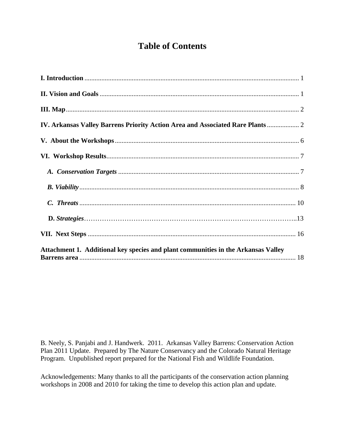# **Table of Contents**

| IV. Arkansas Valley Barrens Priority Action Area and Associated Rare Plants  2    |  |
|-----------------------------------------------------------------------------------|--|
|                                                                                   |  |
|                                                                                   |  |
|                                                                                   |  |
|                                                                                   |  |
|                                                                                   |  |
|                                                                                   |  |
|                                                                                   |  |
| Attachment 1. Additional key species and plant communities in the Arkansas Valley |  |

B. Neely, S. Panjabi and J. Handwerk. 2011. Arkansas Valley Barrens: Conservation Action Plan 2011 Update. Prepared by The Nature Conservancy and the Colorado Natural Heritage Program. Unpublished report prepared for the National Fish and Wildlife Foundation.

Acknowledgements: Many thanks to all the participants of the conservation action planning workshops in 2008 and 2010 for taking the time to develop this action plan and update.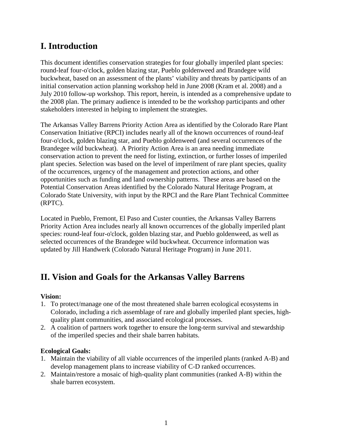# <span id="page-2-0"></span>**I. Introduction**

This document identifies conservation strategies for four globally imperiled plant species: round-leaf four-o'clock*,* golden blazing star, Pueblo goldenweed and Brandegee wild buckwheat, based on an assessment of the plants' viability and threats by participants of an initial conservation action planning workshop held in June 2008 (Kram et al. 2008) and a July 2010 follow-up workshop. This report, herein, is intended as a comprehensive update to the 2008 plan. The primary audience is intended to be the workshop participants and other stakeholders interested in helping to implement the strategies.

The Arkansas Valley Barrens Priority Action Area as identified by the Colorado Rare Plant Conservation Initiative (RPCI) includes nearly all of the known occurrences of round-leaf four-o'clock*,* golden blazing star, and Pueblo goldenweed (and several occurrences of the Brandegee wild buckwheat). A Priority Action Area is an area needing immediate conservation action to prevent the need for listing, extinction, or further losses of imperiled plant species. Selection was based on the level of imperilment of rare plant species, quality of the occurrences, urgency of the management and protection actions, and other opportunities such as funding and land ownership patterns. These areas are based on the Potential Conservation Areas identified by the Colorado Natural Heritage Program, at Colorado State University, with input by the RPCI and the Rare Plant Technical Committee (RPTC).

Located in Pueblo, Fremont, El Paso and Custer counties, the Arkansas Valley Barrens Priority Action Area includes nearly all known occurrences of the globally imperiled plant species: round-leaf four-o'clock, golden blazing star, and Pueblo goldenweed, as well as selected occurrences of the Brandegee wild buckwheat. Occurrence information was updated by Jill Handwerk (Colorado Natural Heritage Program) in June 2011.

# **II. Vision and Goals for the Arkansas Valley Barrens**

### **Vision:**

- 1. To protect/manage one of the most threatened shale barren ecological ecosystems in Colorado, including a rich assemblage of rare and globally imperiled plant species, highquality plant communities, and associated ecological processes.
- 2. A coalition of partners work together to ensure the long-term survival and stewardship of the imperiled species and their shale barren habitats.

### **Ecological Goals:**

- 1. Maintain the viability of all viable occurrences of the imperiled plants (ranked A-B) and develop management plans to increase viability of C-D ranked occurrences.
- 2. Maintain/restore a mosaic of high-quality plant communities (ranked A-B) within the shale barren ecosystem.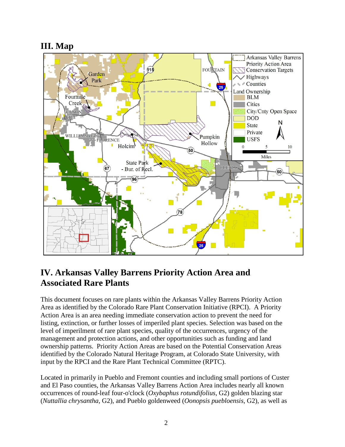# <span id="page-3-0"></span>**III. Map**



# <span id="page-3-1"></span>**IV. Arkansas Valley Barrens Priority Action Area and Associated Rare Plants**

This document focuses on rare plants within the Arkansas Valley Barrens Priority Action Area as identified by the Colorado Rare Plant Conservation Initiative (RPCI). A Priority Action Area is an area needing immediate conservation action to prevent the need for listing, extinction, or further losses of imperiled plant species. Selection was based on the level of imperilment of rare plant species, quality of the occurrences, urgency of the management and protection actions, and other opportunities such as funding and land ownership patterns. Priority Action Areas are based on the Potential Conservation Areas identified by the Colorado Natural Heritage Program, at Colorado State University, with input by the RPCI and the Rare Plant Technical Committee (RPTC).

Located in primarily in Pueblo and Fremont counties and including small portions of Custer and El Paso counties, the Arkansas Valley Barrens Action Area includes nearly all known occurrences of round-leaf four-o'clock (*Oxybaphus rotundifolius*, G2) golden blazing star (*Nuttallia chrysantha*, G2), and Pueblo goldenweed (*Oonopsis puebloensis*, G2), as well as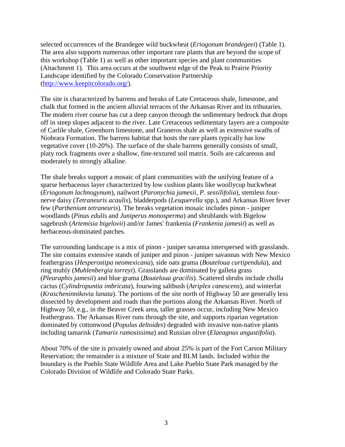selected occurrences of the Brandegee wild buckwheat (*Eriogonum brandegeei*) (Table 1). The area also supports numerous other important rare plants that are beyond the scope of this workshop (Table 1) as well as other important species and plant communities (Attachment 1). This area occurs at the southwest edge of the Peak to Prairie Priority Landscape identified by the Colorado Conservation Partnership [\(http://www.keepitcolorado.org/\)](http://www.keepitcolorado.org/).

The site is characterized by barrens and breaks of Late Cretaceous shale, limestone, and chalk that formed in the ancient alluvial terraces of the Arkansas River and its tributaries. The modern river course has cut a deep canyon through the sedimentary bedrock that drops off in steep slopes adjacent to the river. Late Cretaceous sedimentary layers are a composite of Carlile shale, Greenhorn limestone, and Graneros shale as well as extensive swaths of Niobrara Formation. The barrens habitat that hosts the rare plants typically has low vegetative cover (10-20%). The surface of the shale barrens generally consists of small, platy rock fragments over a shallow, fine-textured soil matrix. Soils are calcareous and moderately to strongly alkaline.

The shale breaks support a mosaic of plant communities with the unifying feature of a sparse herbaceous layer characterized by low cushion plants like woollycup buckwheat (*Eriogonum lachnogynum*), nailwort (*Paronychia jamesii, P. sessilifolia*), stemless fournerve daisy (*Tetraneuris acaulis*), bladderpods (*Lesquerella* spp.), and Arkansas River fever few (*Parthenium tetraneuris*). The breaks vegetation mosaic includes pinon - juniper woodlands (*Pinus edulis* and *Juniperus monosperma*) and shrublands with Bigelow sagebrush (*Artemisia bigelovii*) and/or James' frankenia (*Frankenia jamesii*) as well as herbaceous-dominated patches.

The surrounding landscape is a mix of pinon - juniper savanna interspersed with grasslands. The site contains extensive stands of juniper and pinon - juniper savannas with New Mexico feathergrass (*Hesperostipa neomexicana*), side oats grama (*Bouteloua curtipendula*), and ring muhly (*Muhlenbergia torreyi*). Grasslands are dominated by galleta grass (*Pleuraphis jamesii*) and blue grama (*Bouteloua gracilis*). Scattered shrubs include cholla cactus (*Cylindropuntia imbricata*), fourwing saltbush (*Atriplex canescens*), and winterfat (*Krascheninnikovia lanata*). The portions of the site north of Highway 50 are generally less dissected by development and roads than the portions along the Arkansas River. North of Highway 50, e.g., in the Beaver Creek area, taller grasses occur, including New Mexico feathergrass. The Arkansas River runs through the site, and supports riparian vegetation dominated by cottonwood (*Populus deltoides*) degraded with invasive non-native plants including tamarisk (*Tamarix ramosissima*) and Russian olive (*Elaeagnus angustifolia*).

About 70% of the site is privately owned and about 25% is part of the Fort Carson Military Reservation; the remainder is a mixture of State and BLM lands. Included within the boundary is the Pueblo State Wildlife Area and Lake Pueblo State Park managed by the Colorado Division of Wildlife and Colorado State Parks.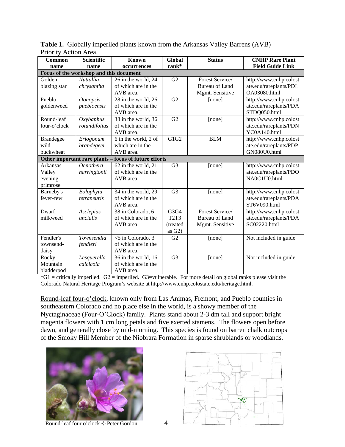| Common                                  | <b>Scientific</b> | <b>Known</b><br><b>Global</b>                         |                               | <b>Status</b>         | <b>CNHP Rare Plant</b>  |
|-----------------------------------------|-------------------|-------------------------------------------------------|-------------------------------|-----------------------|-------------------------|
| name                                    | name              | occurrences                                           | rank*                         |                       | <b>Field Guide Link</b> |
| Focus of the workshop and this document |                   |                                                       |                               |                       |                         |
| Golden                                  | <b>Nuttallia</b>  | 26 in the world, 24                                   | G <sub>2</sub>                | Forest Service/       | http://www.cnhp.colost  |
| blazing star                            | chrysantha        | of which are in the                                   |                               | <b>Bureau of Land</b> | ate.edu/rareplants/PDL  |
|                                         |                   | AVB area.                                             |                               | Mgmt. Sensitive       | OA03080.html            |
| Pueblo                                  | <b>Oonopsis</b>   | 28 in the world, 26                                   | G2                            | [none]                | http://www.cnhp.colost  |
| goldenweed                              | puebloensis       | of which are in the                                   |                               |                       | ate.edu/rareplants/PDA  |
|                                         |                   | AVB area.                                             |                               |                       | STDQ050.html            |
| Round-leaf                              | Oxybaphus         | 38 in the world, 36                                   | $\overline{G2}$               | [none]                | http://www.cnhp.colost  |
| four-o'clock                            | rotundifolius     | of which are in the                                   |                               |                       | ate.edu/rareplants/PDN  |
|                                         |                   | AVB area.                                             |                               |                       | YC0A140.html            |
| <b>Brandegee</b>                        | Eriogonum         | 6 in the world, 2 of                                  | G1G2                          | <b>BLM</b>            | http://www.cnhp.colost  |
| wild                                    | brandegeei        | which are in the                                      |                               |                       | ate.edu/rareplants/PDP  |
| buckwheat                               |                   | AVB area.                                             |                               |                       | GN080U0.html            |
|                                         |                   | Other important rare plants - focus of future efforts |                               |                       |                         |
| Arkansas                                | <b>Oenothera</b>  | 62 in the world, 21                                   | G <sub>3</sub>                | [none]                | http://www.cnhp.colost  |
| Valley                                  | harringtonii      | of which are in the                                   |                               |                       | ate.edu/rareplants/PDO  |
| evening                                 |                   | AVB area                                              |                               |                       | NA0C1U0.html            |
| primrose                                |                   |                                                       |                               |                       |                         |
| Barneby's                               | Bolophyta         | 34 in the world, 29                                   | G <sub>3</sub>                | [none]                | http://www.cnhp.colost  |
| fever-few                               | tetraneuris       | of which are in the                                   |                               |                       | ate.edu/rareplants/PDA  |
|                                         |                   | AVB area.                                             |                               |                       | ST6V090.html            |
| Dwarf                                   | Asclepias         | 38 in Colorado, 6                                     | $\overline{G}$ 3G4            | Forest Service/       | http://www.cnhp.colost  |
| milkweed                                | uncialis          | of which are in the                                   | T <sub>2</sub> T <sub>3</sub> | <b>Bureau of Land</b> | ate.edu/rareplants/PDA  |
|                                         |                   | AVB area                                              | (treated                      | Mgmt. Sensitive       | SC02220.html            |
|                                         |                   |                                                       | as $G2$ )                     |                       |                         |
| Fendler's                               | Townsendia        | <5 in Colorado, 3                                     | G <sub>2</sub>                | [none]                | Not included in guide   |
| townsend-                               | fendleri          | of which are in the                                   |                               |                       |                         |
| daisy                                   |                   | AVB area.                                             |                               |                       |                         |
| Rocky                                   | Lesquerella       | 36 in the world, 16                                   | G <sub>3</sub>                | [none]                | Not included in guide   |
| Mountain                                | calcicola         | of which are in the                                   |                               |                       |                         |
| bladderpod                              |                   | AVB area.                                             |                               |                       |                         |

**Table 1.** Globally imperiled plants known from the Arkansas Valley Barrens (AVB) Priority Action Area.

 $*G1$  = critically imperiled.  $G2$  = imperiled.  $G3$  = vulnerable. For more detail on global ranks please visit the Colorado Natural Heritage Program's website at http://www.cnhp.colostate.edu/heritage.html.

Round-leaf four-o'clock, known only from Las Animas, Fremont, and Pueblo counties in southeastern Colorado and no place else in the world, is a showy member of the Nyctaginaceae (Four-O'Clock) family. Plants stand about 2-3 dm tall and support bright magenta flowers with 1 cm long petals and five exerted stamens. The flowers open before dawn, and generally close by mid-morning. This species is found on barren chalk outcrops of the Smoky Hill Member of the Niobrara Formation in sparse shrublands or woodlands.





Round-leaf four o'clock *©* Peter Gordon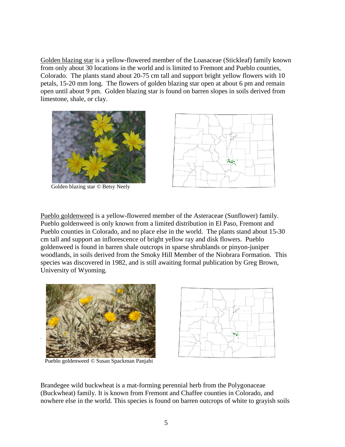Golden blazing star is a yellow-flowered member of the Loasaceae (Stickleaf) family known from only about 30 locations in the world and is limited to Fremont and Pueblo counties, Colorado. The plants stand about 20-75 cm tall and support bright yellow flowers with 10 petals, 15-20 mm long. The flowers of golden blazing star open at about 6 pm and remain open until about 9 pm. Golden blazing star is found on barren slopes in soils derived from limestone, shale, or clay.



Golden blazing star *©* Betsy Neely



Pueblo goldenweed is a yellow-flowered member of the Asteraceae (Sunflower) family. Pueblo goldenweed is only known from a limited distribution in El Paso, Fremont and Pueblo counties in Colorado, and no place else in the world. The plants stand about 15-30 cm tall and support an inflorescence of bright yellow ray and disk flowers. Pueblo goldenweed is found in barren shale outcrops in sparse shrublands or pinyon-juniper woodlands, in soils derived from the Smoky Hill Member of the Niobrara Formation. This species was discovered in 1982, and is still awaiting formal publication by Greg Brown, University of Wyoming.



Pueblo goldenweed *©* Susan Spackman Panjabi



Brandegee wild buckwheat is a mat-forming perennial herb from the Polygonaceae (Buckwheat) family. It is known from Fremont and Chaffee counties in Colorado, and nowhere else in the world. This species is found on barren outcrops of white to grayish soils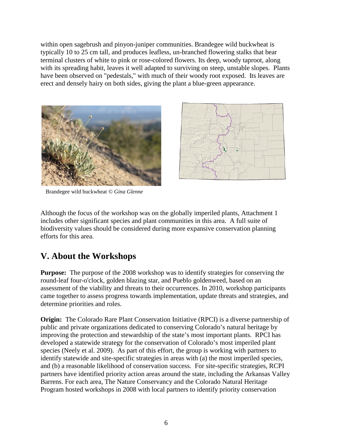within open sagebrush and pinyon-juniper communities. Brandegee wild buckwheat is typically 10 to 25 cm tall, and produces leafless, un-branched flowering stalks that bear terminal clusters of white to pink or rose-colored flowers. Its deep, woody taproot, along with its spreading habit, leaves it well adapted to surviving on steep, unstable slopes. Plants have been observed on "pedestals," with much of their woody root exposed. Its leaves are erect and densely hairy on both sides, giving the plant a blue-green appearance.





Brandegee wild buckwheat *© Gina Glenne*

Although the focus of the workshop was on the globally imperiled plants, Attachment 1 includes other significant species and plant communities in this area. A full suite of biodiversity values should be considered during more expansive conservation planning efforts for this area.

### <span id="page-7-0"></span>**V. About the Workshops**

**Purpose:** The purpose of the 2008 workshop was to identify strategies for conserving the round-leaf four-o'clock*,* golden blazing star, and Pueblo goldenweed, based on an assessment of the viability and threats to their occurrences. In 2010, workshop participants came together to assess progress towards implementation, update threats and strategies, and determine priorities and roles.

**Origin:** The Colorado Rare Plant Conservation Initiative (RPCI) is a diverse partnership of public and private organizations dedicated to conserving Colorado's natural heritage by improving the protection and stewardship of the state's most important plants. RPCI has developed a statewide strategy for the conservation of Colorado's most imperiled plant species (Neely et al. 2009). As part of this effort, the group is working with partners to identify statewide and site-specific strategies in areas with (a) the most imperiled species, and (b) a reasonable likelihood of conservation success. For site-specific strategies, RCPI partners have identified priority action areas around the state, including the Arkansas Valley Barrens. For each area, The Nature Conservancy and the Colorado Natural Heritage Program hosted workshops in 2008 with local partners to identify priority conservation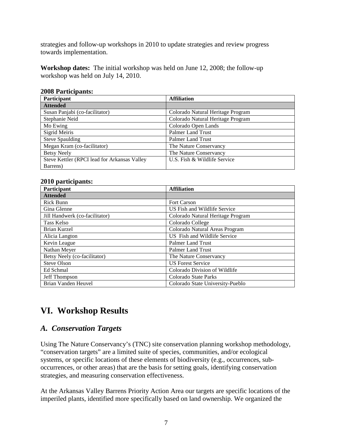strategies and follow-up workshops in 2010 to update strategies and review progress towards implementation.

**Workshop dates:** The initial workshop was held on June 12, 2008; the follow-up workshop was held on July 14, 2010.

| <b>2008 Participants:</b> |  |
|---------------------------|--|
|                           |  |

| <b>Participant</b>                           | <b>Affiliation</b>                |
|----------------------------------------------|-----------------------------------|
| <b>Attended</b>                              |                                   |
| Susan Panjabi (co-facilitator)               | Colorado Natural Heritage Program |
| Stephanie Neid                               | Colorado Natural Heritage Program |
| Mo Ewing                                     | Colorado Open Lands               |
| <b>Sigrid Meiris</b>                         | <b>Palmer Land Trust</b>          |
| <b>Steve Spaulding</b>                       | <b>Palmer Land Trust</b>          |
| Megan Kram (co-facilitator)                  | The Nature Conservancy            |
| <b>Betsy Neely</b>                           | The Nature Conservancy            |
| Steve Kettler (RPCI lead for Arkansas Valley | U.S. Fish & Wildlife Service      |
| Barrens)                                     |                                   |

#### **2010 participants:**

| Participant                    | <b>Affiliation</b>                |
|--------------------------------|-----------------------------------|
| <b>Attended</b>                |                                   |
| <b>Rick Bunn</b>               | <b>Fort Carson</b>                |
| Gina Glenne                    | US Fish and Wildlife Service      |
| Jill Handwerk (co-facilitator) | Colorado Natural Heritage Program |
| Tass Kelso                     | Colorado College                  |
| Brian Kurzel                   | Colorado Natural Areas Program    |
| Alicia Langton                 | US Fish and Wildlife Service      |
| Kevin League                   | <b>Palmer Land Trust</b>          |
| Nathan Meyer                   | <b>Palmer Land Trust</b>          |
| Betsy Neely (co-facilitator)   | The Nature Conservancy            |
| Steve Olson                    | <b>US Forest Service</b>          |
| Ed Schmal                      | Colorado Division of Wildlife     |
| Jeff Thompson                  | Colorado State Parks              |
| Brian Vanden Heuvel            | Colorado State University-Pueblo  |

# <span id="page-8-0"></span>**VI. Workshop Results**

### <span id="page-8-1"></span>*A. Conservation Targets*

Using The Nature Conservancy's (TNC) site conservation planning workshop methodology, "conservation targets" are a limited suite of species, communities, and/or ecological systems, or specific locations of these elements of biodiversity (e.g., occurrences, suboccurrences, or other areas) that are the basis for setting goals, identifying conservation strategies, and measuring conservation effectiveness.

At the Arkansas Valley Barrens Priority Action Area our targets are specific locations of the imperiled plants, identified more specifically based on land ownership. We organized the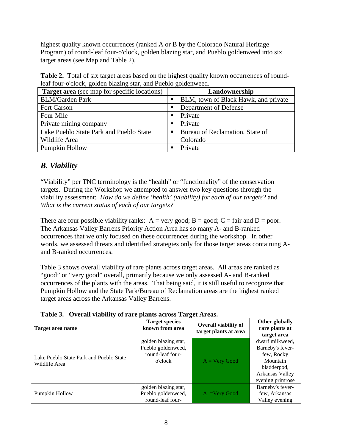highest quality known occurrences (ranked A or B by the Colorado Natural Heritage Program) of round-leaf four-o'clock*,* golden blazing star, and Pueblo goldenweed into six target areas (see Map and Table 2).

Table 2. Total of six target areas based on the highest quality known occurrences of roundleaf four-o'clock*,* golden blazing star, and Pueblo goldenweed.

| <b>Target area</b> (see map for specific locations) | Landownership                        |
|-----------------------------------------------------|--------------------------------------|
| <b>BLM/Garden Park</b>                              | BLM, town of Black Hawk, and private |
| <b>Fort Carson</b>                                  | Department of Defense                |
| Four Mile                                           | Private<br>п                         |
| Private mining company                              | Private<br>п                         |
| Lake Pueblo State Park and Pueblo State             | Bureau of Reclamation, State of      |
| Wildlife Area                                       | Colorado                             |
| Pumpkin Hollow                                      | Private                              |

### <span id="page-9-0"></span>*B. Viability*

"Viability" per TNC terminology is the "health" or "functionality" of the conservation targets. During the Workshop we attempted to answer two key questions through the viability assessment: *How do we define 'health' (viability) for each of our targets?* and *What is the current status of each of our targets?*

There are four possible viability ranks:  $A = very good$ ;  $B = good$ ;  $C = fair$  and  $D = poor$ . The Arkansas Valley Barrens Priority Action Area has so many A- and B-ranked occurrences that we only focused on these occurrences during the workshop. In other words, we assessed threats and identified strategies only for those target areas containing Aand B-ranked occurrences.

Table 3 shows overall viability of rare plants across target areas. All areas are ranked as "good" or "very good" overall, primarily because we only assessed A- and B-ranked occurrences of the plants with the areas. That being said, it is still useful to recognize that Pumpkin Hollow and the State Park/Bureau of Reclamation areas are the highest ranked target areas across the Arkansas Valley Barrens.

| Target area name                                         | <b>Target species</b><br>known from area                                  | <b>Overall viability of</b><br>target plants at area | Other globally<br>rare plants at<br>target area                                                                     |
|----------------------------------------------------------|---------------------------------------------------------------------------|------------------------------------------------------|---------------------------------------------------------------------------------------------------------------------|
| Lake Pueblo State Park and Pueblo State<br>Wildlife Area | golden blazing star,<br>Pueblo goldenweed,<br>round-leaf four-<br>o'clock | $A = Very Good$                                      | dwarf milkweed,<br>Barneby's fever-<br>few, Rocky<br>Mountain<br>bladderpod,<br>Arkansas Valley<br>evening primrose |
| Pumpkin Hollow                                           | golden blazing star,<br>Pueblo goldenweed,<br>round-leaf four-            | $A = Very Good$                                      | Barneby's fever-<br>few, Arkansas<br>Valley evening                                                                 |

|  |  |  |  |  |  | Table 3. Overall viability of rare plants across Target Areas. |
|--|--|--|--|--|--|----------------------------------------------------------------|
|--|--|--|--|--|--|----------------------------------------------------------------|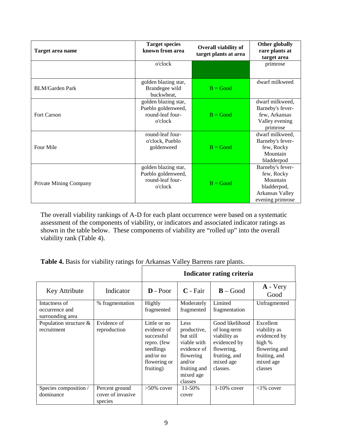| Target area name       | <b>Target species</b><br>known from area                                  | Overall viability of<br>target plants at area | Other globally<br>rare plants at<br>target area                                                  |
|------------------------|---------------------------------------------------------------------------|-----------------------------------------------|--------------------------------------------------------------------------------------------------|
|                        | o'clock                                                                   |                                               | primrose                                                                                         |
| <b>BLM/Garden Park</b> | golden blazing star,<br>Brandegee wild<br>buckwheat,                      | $B = Good$                                    | dwarf milkweed                                                                                   |
| <b>Fort Carson</b>     | golden blazing star,<br>Pueblo goldenweed,<br>round-leaf four-<br>o'clock | $B = Good$                                    | dwarf milkweed,<br>Barneby's fever-<br>few, Arkansas<br>Valley evening<br>primrose               |
| Four Mile              | round-leaf four-<br>o'clock, Pueblo<br>goldenweed                         | $B = Good$                                    | dwarf milkweed,<br>Barneby's fever-<br>few, Rocky<br>Mountain<br>bladderpod                      |
| Private Mining Company | golden blazing star,<br>Pueblo goldenweed,<br>round-leaf four-<br>o'clock | $B = Good$                                    | Barneby's fever-<br>few, Rocky<br>Mountain<br>bladderpod,<br>Arkansas Valley<br>evening primrose |

The overall viability rankings of A-D for each plant occurrence were based on a systematic assessment of the components of viability, or indicators and associated indicator ratings as shown in the table below. These components of viability are "rolled up" into the overall viability rank (Table 4).

**Table 4.** Basis for viability ratings for Arkansas Valley Barrens rare plants.

|                                                     |                                                | Indicator rating criteria                                                                                       |                                                                                                                               |                                                                                                                         |                                                                                                               |  |  |  |  |
|-----------------------------------------------------|------------------------------------------------|-----------------------------------------------------------------------------------------------------------------|-------------------------------------------------------------------------------------------------------------------------------|-------------------------------------------------------------------------------------------------------------------------|---------------------------------------------------------------------------------------------------------------|--|--|--|--|
| Key Attribute                                       | Indicator                                      | $\mathbf{D}$ - Poor                                                                                             | $C$ - Fair                                                                                                                    | $B - Good$                                                                                                              | $A - Very$<br>Good                                                                                            |  |  |  |  |
| Intactness of<br>occurrence and<br>surrounding area | % fragmentation                                | Highly<br>fragmented                                                                                            | Moderately<br>fragmented                                                                                                      | Limited<br>fragmentation                                                                                                | Unfragmented                                                                                                  |  |  |  |  |
| Population structure $\&$<br>recruitment            | Evidence of<br>reproduction                    | Little or no<br>evidence of<br>successful<br>repro. (few<br>seedlings<br>and/or no<br>flowering or<br>fruiting) | Less<br>productive,<br>but still<br>viable with<br>evidence of<br>flowering<br>and/or<br>fruiting and<br>mixed age<br>classes | Good likelihood<br>of long-term<br>viability as<br>evidenced by<br>flowering,<br>fruiting, and<br>mixed age<br>classes. | Excellent<br>viability as<br>evidenced by<br>high %<br>flowering and<br>fruiting, and<br>mixed age<br>classes |  |  |  |  |
| Species composition /<br>dominance                  | Percent ground<br>cover of invasive<br>species | $>50\%$ cover                                                                                                   | $11 - 50%$<br>cover                                                                                                           | $1-10\%$ cover                                                                                                          | $<1\%$ cover                                                                                                  |  |  |  |  |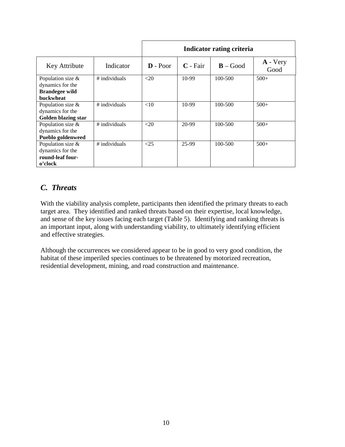|                          |               | Indicator rating criteria |            |            |                    |  |  |  |  |
|--------------------------|---------------|---------------------------|------------|------------|--------------------|--|--|--|--|
| Key Attribute            | Indicator     | $D - Poor$                | $C$ - Fair | $B - Good$ | $A - Very$<br>Good |  |  |  |  |
| Population size &        | # individuals | $<$ 20                    | $10-99$    | 100-500    | $500+$             |  |  |  |  |
| dynamics for the         |               |                           |            |            |                    |  |  |  |  |
| <b>Brandegee wild</b>    |               |                           |            |            |                    |  |  |  |  |
| <b>buckwheat</b>         |               |                           |            |            |                    |  |  |  |  |
| Population size &        | # individuals | <10                       | 10-99      | 100-500    | $500+$             |  |  |  |  |
| dynamics for the         |               |                           |            |            |                    |  |  |  |  |
| Golden blazing star      |               |                           |            |            |                    |  |  |  |  |
| Population size &        | # individuals | $<$ 20                    | 20-99      | 100-500    | $500+$             |  |  |  |  |
| dynamics for the         |               |                           |            |            |                    |  |  |  |  |
| <b>Pueblo goldenweed</b> |               |                           |            |            |                    |  |  |  |  |
| Population size $&$      | # individuals | <25                       | 25-99      | 100-500    | $500+$             |  |  |  |  |
| dynamics for the         |               |                           |            |            |                    |  |  |  |  |
| round-leaf four-         |               |                           |            |            |                    |  |  |  |  |
| o'clock                  |               |                           |            |            |                    |  |  |  |  |

### <span id="page-11-0"></span>*C. Threats*

With the viability analysis complete, participants then identified the primary threats to each target area. They identified and ranked threats based on their expertise, local knowledge, and sense of the key issues facing each target (Table 5). Identifying and ranking threats is an important input, along with understanding viability, to ultimately identifying efficient and effective strategies.

Although the occurrences we considered appear to be in good to very good condition, the habitat of these imperiled species continues to be threatened by motorized recreation, residential development, mining, and road construction and maintenance.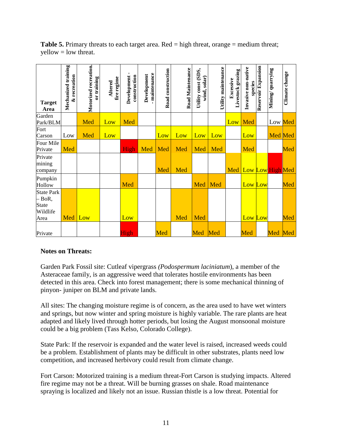| <b>Target</b><br>Area                                             | Mechanized training<br>recreation<br>ళ | Motorized recreation.<br>or training | fire regime<br>Altered | Development-<br>construction | maintenance<br>Development | Road construction | <b>Road Maintenance</b> | const (SDS,<br>wind, solar)<br>Utility | Utility maintenance | Livestock grazing<br>Excessive | Invasive non-native<br>species | Reservoir Expansion | quarrying<br>Mining/ | Climate change |
|-------------------------------------------------------------------|----------------------------------------|--------------------------------------|------------------------|------------------------------|----------------------------|-------------------|-------------------------|----------------------------------------|---------------------|--------------------------------|--------------------------------|---------------------|----------------------|----------------|
| Garden<br>Park/BLM                                                |                                        | Med                                  | Low                    | Med                          |                            |                   |                         |                                        |                     |                                | Low Med                        |                     | Low Med              |                |
| Fort<br>Carson                                                    | Low                                    | Med                                  | Low                    |                              |                            | Low               | Low                     | Low                                    | Low                 |                                | Low                            |                     | Med Med              |                |
| Four Mile<br>Private                                              | Med                                    |                                      |                        | High                         | Med                        | Med               | Med                     | Med                                    | Med                 |                                | Med                            |                     |                      | Med            |
| Private<br>mining<br>company                                      |                                        |                                      |                        |                              |                            | Med               | Med                     |                                        |                     | Med                            | Low Low High Med               |                     |                      |                |
| Pumpkin<br>Hollow                                                 |                                        |                                      |                        | Med                          |                            |                   |                         | Med                                    | Med                 |                                | Low Low                        |                     |                      | Med            |
| <b>State Park</b><br>$-$ BoR,<br><b>State</b><br>Wildlife<br>Area | Med                                    | Low                                  |                        | Low                          |                            |                   | Med                     | Med                                    |                     |                                | Low Low                        |                     |                      | Med            |
| Private                                                           |                                        |                                      |                        | High                         |                            | Med               |                         | Med                                    | Med                 |                                | Med                            |                     | Med                  | Med            |

**Table 5.** Primary threats to each target area. Red = high threat, orange = medium threat;  $yellow = low$  threat.

#### **Notes on Threats:**

Garden Park Fossil site: Cutleaf vipergrass *(Podospermum laciniatum*), a member of the Asteraceae family, is an aggressive weed that tolerates hostile environments has been detected in this area. Check into forest management; there is some mechanical thinning of pinyon- juniper on BLM and private lands.

All sites: The changing moisture regime is of concern, as the area used to have wet winters and springs, but now winter and spring moisture is highly variable. The rare plants are heat adapted and likely lived through hotter periods, but losing the August monsoonal moisture could be a big problem (Tass Kelso, Colorado College).

State Park: If the reservoir is expanded and the water level is raised, increased weeds could be a problem. Establishment of plants may be difficult in other substrates, plants need low competition, and increased herbivory could result from climate change.

Fort Carson: Motorized training is a medium threat-Fort Carson is studying impacts. Altered fire regime may not be a threat. Will be burning grasses on shale. Road maintenance spraying is localized and likely not an issue. Russian thistle is a low threat. Potential for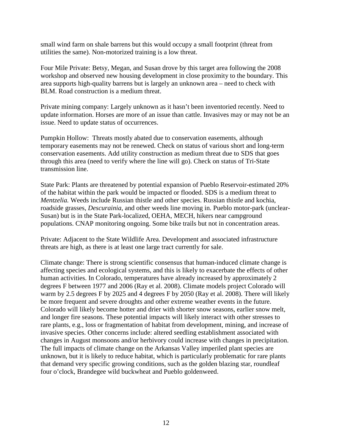small wind farm on shale barrens but this would occupy a small footprint (threat from utilities the same). Non-motorized training is a low threat.

Four Mile Private: Betsy, Megan, and Susan drove by this target area following the 2008 workshop and observed new housing development in close proximity to the boundary. This area supports high-quality barrens but is largely an unknown area – need to check with BLM. Road construction is a medium threat.

Private mining company: Largely unknown as it hasn't been inventoried recently. Need to update information. Horses are more of an issue than cattle. Invasives may or may not be an issue. Need to update status of occurrences.

Pumpkin Hollow: Threats mostly abated due to conservation easements, although temporary easements may not be renewed. Check on status of various short and long-term conservation easements. Add utility construction as medium threat due to SDS that goes through this area (need to verify where the line will go). Check on status of Tri-State transmission line.

State Park: Plants are threatened by potential expansion of Pueblo Reservoir-estimated 20% of the habitat within the park would be impacted or flooded. SDS is a medium threat to *Mentzelia.* Weeds include Russian thistle and other species. Russian thistle and kochia, roadside grasses, *Descurainia*, and other weeds line moving in. Pueblo motor-park (unclear-Susan) but is in the State Park-localized, OEHA, MECH, hikers near campground populations. CNAP monitoring ongoing. Some bike trails but not in concentration areas.

Private: Adjacent to the State Wildlife Area. Development and associated infrastructure threats are high, as there is at least one large tract currently for sale.

Climate change: There is strong scientific consensus that human-induced climate change is affecting species and ecological systems, and this is likely to exacerbate the effects of other human activities. In Colorado, temperatures have already increased by approximately 2 degrees F between 1977 and 2006 (Ray et al. 2008). Climate models project Colorado will warm by 2.5 degrees F by 2025 and 4 degrees F by 2050 (Ray et al. 2008). There will likely be more frequent and severe droughts and other extreme weather events in the future. Colorado will likely become hotter and drier with shorter snow seasons, earlier snow melt, and longer fire seasons. These potential impacts will likely interact with other stresses to rare plants, e.g., loss or fragmentation of habitat from development, mining, and increase of invasive species. Other concerns include: altered seedling establishment associated with changes in August monsoons and/or herbivory could increase with changes in precipitation. The full impacts of climate change on the Arkansas Valley imperiled plant species are unknown, but it is likely to reduce habitat, which is particularly problematic for rare plants that demand very specific growing conditions, such as the golden blazing star, roundleaf four o'clock, Brandegee wild buckwheat and Pueblo goldenweed.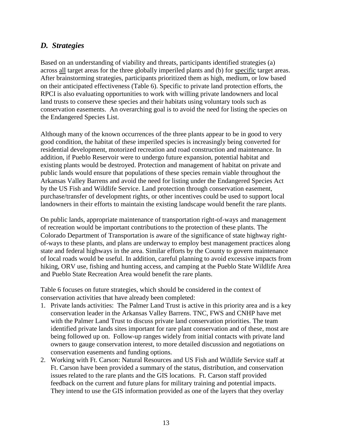### *D. Strategies*

Based on an understanding of viability and threats, participants identified strategies (a) across all target areas for the three globally imperiled plants and (b) for specific target areas. After brainstorming strategies, participants prioritized them as high, medium, or low based on their anticipated effectiveness (Table 6). Specific to private land protection efforts, the RPCI is also evaluating opportunities to work with willing private landowners and local land trusts to conserve these species and their habitats using voluntary tools such as conservation easements. An overarching goal is to avoid the need for listing the species on the Endangered Species List.

Although many of the known occurrences of the three plants appear to be in good to very good condition, the habitat of these imperiled species is increasingly being converted for residential development, motorized recreation and road construction and maintenance. In addition, if Pueblo Reservoir were to undergo future expansion, potential habitat and existing plants would be destroyed. Protection and management of habitat on private and public lands would ensure that populations of these species remain viable throughout the Arkansas Valley Barrens and avoid the need for listing under the Endangered Species Act by the US Fish and Wildlife Service. Land protection through conservation easement, purchase/transfer of development rights, or other incentives could be used to support local landowners in their efforts to maintain the existing landscape would benefit the rare plants.

On public lands, appropriate maintenance of transportation right-of-ways and management of recreation would be important contributions to the protection of these plants. The Colorado Department of Transportation is aware of the significance of state highway rightof-ways to these plants, and plans are underway to employ best management practices along state and federal highways in the area. Similar efforts by the County to govern maintenance of local roads would be useful. In addition, careful planning to avoid excessive impacts from hiking, ORV use, fishing and hunting access, and camping at the Pueblo State Wildlife Area and Pueblo State Recreation Area would benefit the rare plants.

Table 6 focuses on future strategies, which should be considered in the context of conservation activities that have already been completed:

- 1. Private lands activities: The Palmer Land Trust is active in this priority area and is a key conservation leader in the Arkansas Valley Barrens. TNC, FWS and CNHP have met with the Palmer Land Trust to discuss private land conservation priorities. The team identified private lands sites important for rare plant conservation and of these, most are being followed up on. Follow-up ranges widely from initial contacts with private land owners to gauge conservation interest, to more detailed discussion and negotiations on conservation easements and funding options.
- 2. Working with Ft. Carson: Natural Resources and US Fish and Wildlife Service staff at Ft. Carson have been provided a summary of the status, distribution, and conservation issues related to the rare plants and the GIS locations. Ft. Carson staff provided feedback on the current and future plans for military training and potential impacts. They intend to use the GIS information provided as one of the layers that they overlay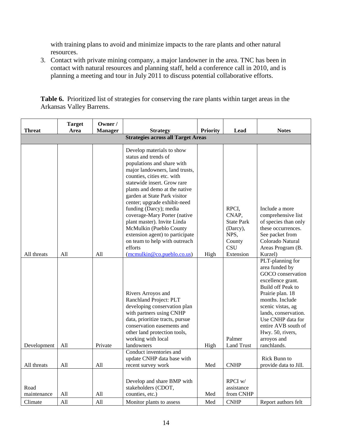with training plans to avoid and minimize impacts to the rare plants and other natural resources.

3. Contact with private mining company, a major landowner in the area. TNC has been in contact with natural resources and planning staff, held a conference call in 2010, and is planning a meeting and tour in July 2011 to discuss potential collaborative efforts.

| <b>Threat</b>                             | <b>Target</b><br>Area | Owner /<br><b>Manager</b> | <b>Strategy</b>                                                                                                                                                                                                                                                                                                                                                                                                                                                                    | Priority | Lead                                                                            | <b>Notes</b>                                                                                                                                                                                                                                                                        |
|-------------------------------------------|-----------------------|---------------------------|------------------------------------------------------------------------------------------------------------------------------------------------------------------------------------------------------------------------------------------------------------------------------------------------------------------------------------------------------------------------------------------------------------------------------------------------------------------------------------|----------|---------------------------------------------------------------------------------|-------------------------------------------------------------------------------------------------------------------------------------------------------------------------------------------------------------------------------------------------------------------------------------|
| <b>Strategies across all Target Areas</b> |                       |                           |                                                                                                                                                                                                                                                                                                                                                                                                                                                                                    |          |                                                                                 |                                                                                                                                                                                                                                                                                     |
|                                           |                       |                           | Develop materials to show<br>status and trends of<br>populations and share with<br>major landowners, land trusts,<br>counties, cities etc. with<br>statewide insert. Grow rare<br>plants and demo at the native<br>garden at State Park visitor<br>center; upgrade exhibit-need<br>funding (Darcy); media<br>coverage-Mary Porter (native<br>plant master). Invite Linda<br>McMulkin (Pueblo County<br>extension agent) to participate<br>on team to help with outreach<br>efforts |          | RPCI,<br>CNAP,<br><b>State Park</b><br>(Darcy),<br>NPS,<br>County<br><b>CSU</b> | Include a more<br>comprehensive list<br>of species than only<br>these occurrences.<br>See packet from<br>Colorado Natural<br>Areas Program (B.                                                                                                                                      |
| All threats                               | All                   | All                       | $(\text{mcmulkin@co.pueblo.co.us})$                                                                                                                                                                                                                                                                                                                                                                                                                                                | High     | Extension                                                                       | Kurzel)                                                                                                                                                                                                                                                                             |
| Development                               | All                   | Private                   | Rivers Arroyos and<br>Ranchland Project: PLT<br>developing conservation plan<br>with partners using CNHP<br>data, prioritize tracts, pursue<br>conservation easements and<br>other land protection tools,<br>working with local<br>landowners                                                                                                                                                                                                                                      | High     | Palmer<br><b>Land Trust</b>                                                     | PLT-planning for<br>area funded by<br>GOCO conservation<br>excellence grant.<br>Build off Peak to<br>Prairie plan. 18<br>months. Include<br>scenic vistas, ag<br>lands, conservation.<br>Use CNHP data for<br>entire AVB south of<br>Hwy. 50, rivers,<br>arroyos and<br>ranchlands. |
|                                           |                       |                           | Conduct inventories and<br>update CNHP data base with                                                                                                                                                                                                                                                                                                                                                                                                                              |          |                                                                                 | Rick Bunn to                                                                                                                                                                                                                                                                        |
| All threats                               | All                   | All                       | recent survey work                                                                                                                                                                                                                                                                                                                                                                                                                                                                 | Med      | <b>CNHP</b>                                                                     | provide data to Jill.                                                                                                                                                                                                                                                               |
| Road<br>maintenance                       | All                   | All                       | Develop and share BMP with<br>stakeholders (CDOT,<br>counties, etc.)                                                                                                                                                                                                                                                                                                                                                                                                               | Med      | $RPCI$ w/<br>assistance<br>from CNHP                                            |                                                                                                                                                                                                                                                                                     |
| Climate                                   | All                   | All                       | Monitor plants to assess                                                                                                                                                                                                                                                                                                                                                                                                                                                           | Med      | <b>CNHP</b>                                                                     | Report authors felt                                                                                                                                                                                                                                                                 |

**Table 6.** Prioritized list of strategies for conserving the rare plants within target areas in the Arkansas Valley Barrens.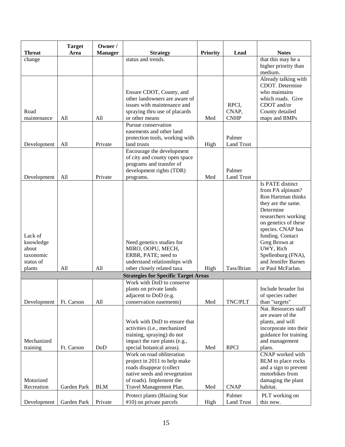|                                                                   | <b>Target</b> | Owner /        |                                                                                                                                                                                                                       |                 |                               |                                                                                                                                                                                                                                                                                       |
|-------------------------------------------------------------------|---------------|----------------|-----------------------------------------------------------------------------------------------------------------------------------------------------------------------------------------------------------------------|-----------------|-------------------------------|---------------------------------------------------------------------------------------------------------------------------------------------------------------------------------------------------------------------------------------------------------------------------------------|
| <b>Threat</b>                                                     | Area          | <b>Manager</b> | <b>Strategy</b>                                                                                                                                                                                                       | <b>Priority</b> | Lead                          | <b>Notes</b>                                                                                                                                                                                                                                                                          |
| change                                                            |               |                | status and trends.                                                                                                                                                                                                    |                 |                               | that this may be a<br>higher priority than<br>medium.                                                                                                                                                                                                                                 |
| Road<br>maintenance                                               | All           | All            | Ensure CDOT, County, and<br>other landowners are aware of<br>issues with maintenance and<br>spraying thru use of placards<br>or other means                                                                           | Med             | RPCI,<br>CNAP,<br><b>CNHP</b> | Already talking with<br>CDOT. Determine<br>who maintains<br>which roads. Give<br>CDOT and/or<br>County detailed<br>maps and BMPs                                                                                                                                                      |
| Development                                                       | All           | Private        | Pursue conservation<br>easements and other land<br>protection tools, working with<br>land trusts                                                                                                                      | High            | Palmer<br><b>Land Trust</b>   |                                                                                                                                                                                                                                                                                       |
| Development                                                       | All           | Private        | Encourage the development<br>of city and county open space<br>programs and transfer of<br>development rights (TDR)<br>programs.                                                                                       | Med             | Palmer<br><b>Land Trust</b>   |                                                                                                                                                                                                                                                                                       |
| Lack of<br>knowledge<br>about<br>taxonomic<br>status of<br>plants | All           | All            | Need genetics studies for<br>MIRO, OOPU, MECH,<br>ERBR, PATE; need to<br>understand relationships with<br>other closely related taxa                                                                                  | High            | Tass/Brian                    | Is PATE distinct<br>from PA alpinum?<br>Ron Hartman thinks<br>they are the same.<br>Determine<br>researchers working<br>on genetics of these<br>species. CNAP has<br>funding. Contact<br>Greg Brown at<br>UWY, Rich<br>Spellenburg (FNA),<br>and Jennifer Barnes<br>or Paul McFarlan. |
|                                                                   |               |                | <b>Strategies for Specific Target Areas</b>                                                                                                                                                                           |                 |                               |                                                                                                                                                                                                                                                                                       |
| Development                                                       | Ft. Carson    | All            | Work with DoD to conserve<br>plants on private lands<br>adjacent to DoD (e.g.<br>conservation easements)                                                                                                              | Med             | TNC/PLT                       | Include broader list<br>of species rather<br>than "targets"                                                                                                                                                                                                                           |
| Mechanized<br>training                                            | Ft. Carson    | DoD            | Work with DoD to ensure that<br>activities (i.e., mechanized<br>training, spraying) do not<br>impact the rare plants (e.g.,<br>special botanical areas).<br>Work on road obliteration<br>project in 2011 to help make | Med             | <b>RPCI</b>                   | Nat. Resources staff<br>are aware of the<br>plants, and will<br>incorporate into their<br>guidance for training<br>and management<br>plans.<br><b>CNAP</b> worked with<br>BLM to place rocks                                                                                          |
| Motorized<br>Recreation                                           | Garden Park   | <b>BLM</b>     | roads disappear (collect<br>native seeds and revegetation<br>of roads). Implement the<br>Travel Management Plan.<br>Protect plants (Blazing Star                                                                      | Med             | <b>CNAP</b><br>Palmer         | and a sign to prevent<br>motorbikes from<br>damaging the plant<br>habitat.<br>PLT working on                                                                                                                                                                                          |
| Development                                                       | Garden Park   | Private        | #10) on private parcels                                                                                                                                                                                               | High            | Land Trust                    | this now.                                                                                                                                                                                                                                                                             |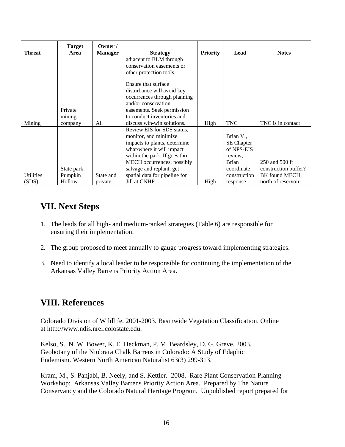| <b>Threat</b>    | <b>Target</b><br>Area | Owner /<br><b>Manager</b> | <b>Strategy</b>                                                                                                                                                                                    | <b>Priority</b> | Lead                                                                    | <b>Notes</b>         |
|------------------|-----------------------|---------------------------|----------------------------------------------------------------------------------------------------------------------------------------------------------------------------------------------------|-----------------|-------------------------------------------------------------------------|----------------------|
|                  |                       |                           | adjacent to BLM through                                                                                                                                                                            |                 |                                                                         |                      |
|                  |                       |                           | conservation easements or                                                                                                                                                                          |                 |                                                                         |                      |
|                  |                       |                           | other protection tools.                                                                                                                                                                            |                 |                                                                         |                      |
| Mining           | Private<br>mining     | All                       | Ensure that surface<br>disturbance will avoid key<br>occurrences through planning<br>and/or conservation<br>easements. Seek permission<br>to conduct inventories and<br>discuss win-win solutions. | High            | <b>TNC</b>                                                              | TNC is in contact    |
|                  | company               |                           | Review EIS for SDS status,                                                                                                                                                                         |                 |                                                                         |                      |
|                  |                       |                           | monitor, and minimize<br>impacts to plants, determine<br>what/where it will impact<br>within the park. If goes thru<br>MECH occurrences, possibly                                                  |                 | Brian V.,<br><b>SE</b> Chapter<br>of NPS-EIS<br>review,<br><b>Brian</b> | 250 and 500 ft       |
|                  | State park,           |                           | salvage and replant, get                                                                                                                                                                           |                 | coordinate                                                              | construction buffer? |
| <b>Utilities</b> | Pumpkin               | State and                 | spatial data for pipeline for                                                                                                                                                                      |                 | construction                                                            | <b>BK</b> found MECH |
| (SDS)            | Hollow                | private                   | Jill at CNHP                                                                                                                                                                                       | High            | response                                                                | north of reservoir   |

# <span id="page-17-0"></span>**VII. Next Steps**

- 1. The leads for all high- and medium-ranked strategies (Table 6) are responsible for ensuring their implementation.
- 2. The group proposed to meet annually to gauge progress toward implementing strategies.
- 3. Need to identify a local leader to be responsible for continuing the implementation of the Arkansas Valley Barrens Priority Action Area.

### **VIII. References**

Colorado Division of Wildlife. 2001-2003. Basinwide Vegetation Classification. Online at http://www.ndis.nrel.colostate.edu.

Kelso, S., N. W. Bower, K. E. Heckman, P. M. Beardsley, D. G. Greve. 2003. Geobotany of the Niobrara Chalk Barrens in Colorado: A Study of Edaphic Endemism. Western North American Naturalist 63(3) 299-313.

Kram, M., S. Panjabi, B. Neely, and S. Kettler. 2008. Rare Plant Conservation Planning Workshop: Arkansas Valley Barrens Priority Action Area. Prepared by The Nature Conservancy and the Colorado Natural Heritage Program. Unpublished report prepared for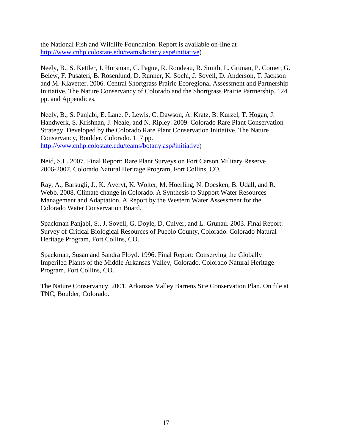the National Fish and Wildlife Foundation. Report is available on-line at [http://www.cnhp.colostate.edu/teams/botany.asp#initiative\)](http://www.cnhp.colostate.edu/teams/botany.asp#initiative)

Neely, B., S. Kettler, J. Horsman, C. Pague, R. Rondeau, R. Smith, L. Grunau, P. Comer, G. Belew, F. Pusateri, B. Rosenlund, D. Runner, K. Sochi, J. Sovell, D. Anderson, T. Jackson and M. Klavetter. 2006. Central Shortgrass Prairie Ecoregional Assessment and Partnership Initiative. The Nature Conservancy of Colorado and the Shortgrass Prairie Partnership. 124 pp. and Appendices.

Neely, B., S. Panjabi, E. Lane, P. Lewis, C. Dawson, A. Kratz, B. Kurzel, T. Hogan, J. Handwerk, S. Krishnan, J. Neale, and N. Ripley. 2009. Colorado Rare Plant Conservation Strategy. Developed by the Colorado Rare Plant Conservation Initiative. The Nature Conservancy, Boulder, Colorado. 117 pp. [http://www.cnhp.colostate.edu/teams/botany.asp#initiative\)](http://www.cnhp.colostate.edu/teams/botany.asp#initiative)

Neid, S.L. 2007. Final Report: Rare Plant Surveys on Fort Carson Military Reserve 2006-2007. Colorado Natural Heritage Program, Fort Collins, CO.

Ray, A., Barsugli, J., K. Averyt, K. Wolter, M. Hoerling, N. Doesken, B. Udall, and R. Webb. 2008. Climate change in Colorado. A Synthesis to Support Water Resources Management and Adaptation. A Report by the Western Water Assessment for the Colorado Water Conservation Board.

Spackman Panjabi, S., J. Sovell, G. Doyle, D. Culver, and L. Grunau. 2003. Final Report: Survey of Critical Biological Resources of Pueblo County, Colorado. Colorado Natural Heritage Program, Fort Collins, CO.

Spackman, Susan and Sandra Floyd. 1996. Final Report: Conserving the Globally Imperiled Plants of the Middle Arkansas Valley, Colorado. Colorado Natural Heritage Program, Fort Collins, CO.

The Nature Conservancy. 2001. Arkansas Valley Barrens Site Conservation Plan. On file at TNC, Boulder, Colorado.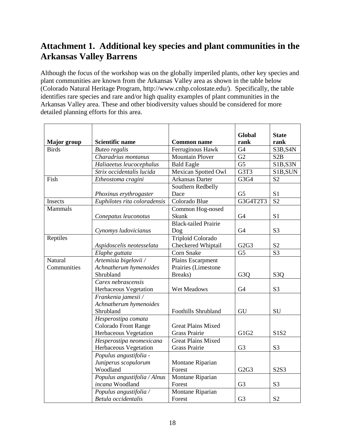# <span id="page-19-0"></span>**Attachment 1. Additional key species and plant communities in the Arkansas Valley Barrens**

Although the focus of the workshop was on the globally imperiled plants, other key species and plant communities are known from the Arkansas Valley area as shown in the table below (Colorado Natural Heritage Program, http://www.cnhp.colostate.edu/). Specifically, the table identifies rare species and rare and/or high quality examples of plant communities in the Arkansas Valley area. These and other biodiversity values should be considered for more detailed planning efforts for this area.

|                    |                              |                             | <b>Global</b>                 | <b>State</b>     |
|--------------------|------------------------------|-----------------------------|-------------------------------|------------------|
| <b>Major</b> group | <b>Scientific name</b>       | <b>Common name</b>          | rank                          | rank             |
| <b>Birds</b>       | <b>Buteo regalis</b>         | Ferruginous Hawk            | G <sub>4</sub>                | S3B, S4N         |
|                    | Charadrius montanus          | <b>Mountain Plover</b>      | G2                            | S <sub>2</sub> B |
|                    | Haliaeetus leucocephalus     | <b>Bald Eagle</b>           | G <sub>5</sub>                | S1B,S3N          |
|                    | Strix occidentalis lucida    | <b>Mexican Spotted Owl</b>  | G3T3                          | S1B, SUN         |
| Fish               | Etheostoma cragini           | Arkansas Darter             | G3G4                          | S <sub>2</sub>   |
|                    |                              | Southern Redbelly           |                               |                  |
|                    | Phoxinus erythrogaster       | Dace                        | G <sub>5</sub>                | S1               |
| Insects            | Euphilotes rita coloradensis | Colorado Blue               | G3G4T2T3                      | S <sub>2</sub>   |
| <b>Mammals</b>     |                              | Common Hog-nosed            |                               |                  |
|                    | Conepatus leuconotus         | Skunk                       | G <sub>4</sub>                | S <sub>1</sub>   |
|                    |                              | <b>Black-tailed Prairie</b> |                               |                  |
|                    | Cynomys ludovicianus         | Dog                         | G <sub>4</sub>                | S <sub>3</sub>   |
| Reptiles           |                              | <b>Triploid Colorado</b>    |                               |                  |
|                    | Aspidoscelis neotesselata    | Checkered Whiptail          | G2G3                          | S <sub>2</sub>   |
|                    | Elaphe guttata               | Corn Snake                  | G <sub>5</sub>                | S <sub>3</sub>   |
| Natural            | Artemisia bigelovii /        | Plains Escarpment           |                               |                  |
| Communities        | Achnatherum hymenoides       | Prairies (Limestone         |                               |                  |
|                    | Shrubland                    | Breaks)                     | G <sub>3</sub> O              | S <sub>3</sub> O |
|                    | Carex nebrascensis           |                             |                               |                  |
|                    | Herbaceous Vegetation        | Wet Meadows                 | G <sub>4</sub>                | S <sub>3</sub>   |
|                    | Frankenia jamesii /          |                             |                               |                  |
|                    | Achnatherum hymenoides       |                             |                               |                  |
|                    | Shrubland                    | <b>Foothills Shrubland</b>  | GU                            | SU               |
|                    | Hesperostipa comata          |                             |                               |                  |
|                    | <b>Colorado Front Range</b>  | <b>Great Plains Mixed</b>   |                               |                  |
|                    | Herbaceous Vegetation        | <b>Grass Prairie</b>        | G1G2                          | S1S2             |
|                    | Hesperostipa neomexicana     | <b>Great Plains Mixed</b>   |                               |                  |
|                    | Herbaceous Vegetation        | Grass Prairie               | G <sub>3</sub>                | S <sub>3</sub>   |
|                    | Populus angustifolia -       |                             |                               |                  |
|                    | Juniperus scopulorum         | Montane Riparian            |                               |                  |
|                    | Woodland                     | Forest                      | G <sub>2</sub> G <sub>3</sub> | S2S3             |
|                    | Populus angustifolia / Alnus | Montane Riparian            |                               |                  |
|                    | incana Woodland              | Forest                      | G <sub>3</sub>                | S <sub>3</sub>   |
|                    | Populus angustifolia /       | Montane Riparian            |                               |                  |
|                    | Betula occidentalis          | Forest                      | G <sub>3</sub>                | S <sub>2</sub>   |